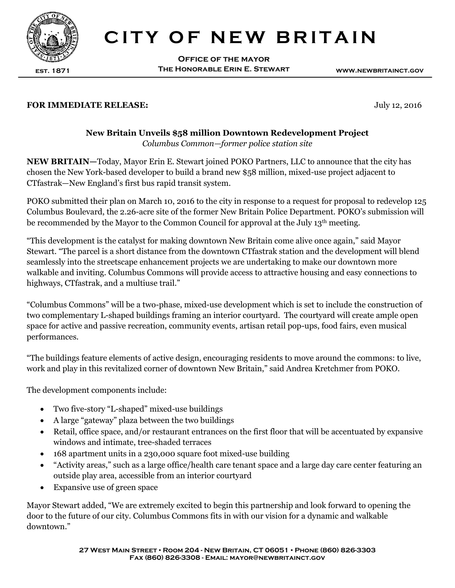

## **CITY OF NEW BRITAIN**

**Office of the mayor The Honorable Erin E. Stewart**

**www.newbritainct.gov**

## **FOR IMMEDIATE RELEASE:** July 12, 2016

## **h** *Columbus Common—former police station site* **New Britain Unveils \$58 million Downtown Redevelopment Project**

**NEW BRITAIN—**Today, Mayor Erin E. Stewart joined POKO Partners, LLC to announce that the city has chosen the New York-based developer to build a brand new \$58 million, mixed-use project adjacent to CTfastrak—New England's first bus rapid transit system.

POKO submitted their plan on March 10, 2016 to the city in response to a request for proposal to redevelop 125 Columbus Boulevard, the 2.26-acre site of the former New Britain Police Department. POKO's submission will be recommended by the Mayor to the Common Council for approval at the July  $13<sup>th</sup>$  meeting.

"This development is the catalyst for making downtown New Britain come alive once again," said Mayor Stewart. "The parcel is a short distance from the downtown CTfastrak station and the development will blend seamlessly into the streetscape enhancement projects we are undertaking to make our downtown more walkable and inviting. Columbus Commons will provide access to attractive housing and easy connections to highways, CTfastrak, and a multiuse trail."

"Columbus Commons" will be a two-phase, mixed-use development which is set to include the construction of two complementary L-shaped buildings framing an interior courtyard. The courtyard will create ample open space for active and passive recreation, community events, artisan retail pop-ups, food fairs, even musical performances.

"The buildings feature elements of active design, encouraging residents to move around the commons: to live, work and play in this revitalized corner of downtown New Britain," said Andrea Kretchmer from POKO.

The development components include:

- Two five-story "L-shaped" mixed-use buildings
- A large "gateway" plaza between the two buildings
- Retail, office space, and/or restaurant entrances on the first floor that will be accentuated by expansive windows and intimate, tree-shaded terraces
- 168 apartment units in a 230,000 square foot mixed-use building
- "Activity areas," such as a large office/health care tenant space and a large day care center featuring an outside play area, accessible from an interior courtyard
- Expansive use of green space

Mayor Stewart added, "We are extremely excited to begin this partnership and look forward to opening the door to the future of our city. Columbus Commons fits in with our vision for a dynamic and walkable downtown."